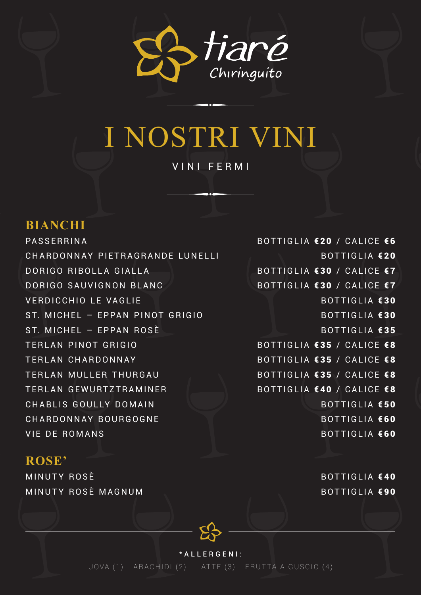

# I NOSTRI VINI VINI FERMI

### **BIANCHI**

PASSERRINA BOTTIGLIA €20 / CALICE €6 CHARDONNAY PIETRAGRANDE LUNELLI BOTTIGLIA €20 DORIGO RIBOLLA GIALLA BOTTIGLIA €30 / CALICE €7 DORIGO SAUVIGNON BLANC BOTTIGLIA €30 / CALICE €7 VERDICCHIO LE VAGLIE BOTTIGLIA €30 ST. MICHEL – EPPAN PINOT GRIGIO ST. MICHEL – EPPAN ROSÈ BOTTIGLIA €35 TERLAN PINOT GRIGIO **BOTTIGLIA €35 / CALICE €8** TERLAN CHARDONNAY **BOTTIGLIA €35 / CALICE €8** TERLAN MULLER THURGAU BOTTIGLIA €35 / CALICE €8 TERLAN GEWURTZTRAMINER BOTTIGLIA €40 / CALICE €8 CHABLIS GOULLY DOMAIN BOTTIGLIA €50 CHARDONNAY BOURGOGNE BOTTIGLIA €60 VIE DE ROMANS DE ROMANS DE ROMANIS

### **ROSE'**

MINUTY ROSÈ BOTTIGLIA €40 MINUTY ROSÈ MAGNUM BOTTIGLIA €90

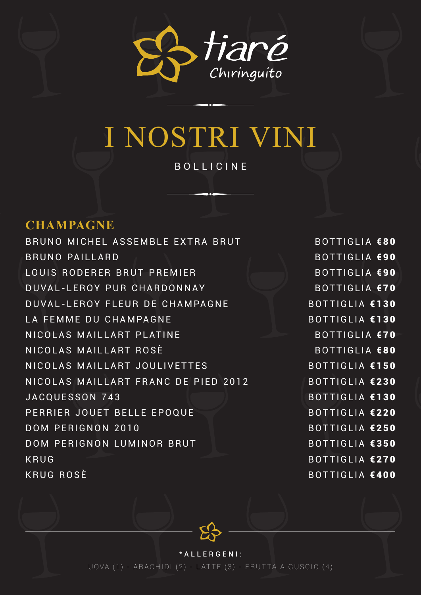

# I NOSTRI VINI BOLLICINE

### **CHAMPAGNE**

BRUNO MICHEL ASSEMBLE EXTRA BRUT BOTTIGLIA €80 BRUNO PAILLARD and the set of the set of the BOTTIGLIA €90 LOUIS RODERER BRUT PREMIER BOTTIGLIA €90 DUVAL-LEROY PUR CHARDONNAY BOTTIGLIA €70 DUVAL-LEROY FLEUR DE CHAMPAGNE BOTTIGLIA €130 LA FEMME DU CHAMPAGNE BOTTIGLIA €130 NICOLAS MAILLART PLATINE BOTTIGLIA €70 NICOLAS MAILLART ROSÈ BOTTIGLIA €80 NICOLAS MAILLART JOULIVETTES BOTTIGLIA €150 NICOLAS MAILLART FRANC DE PIED 2012 BOTTIGLIA €230 JACQUESSON 743 BOTTIGLIA €130 PERRIER JOUET BELLE EPOQUE BOTTIGLIA €220 DOM PERIGNON 2010 BOTTIGLIA €250 DOM PERIGNON LUMINOR BRUT BOTTIGLIA €350 KRUG BOTTIGLIA **€270** KRUG ROSÈ BOTTIGLIA €400